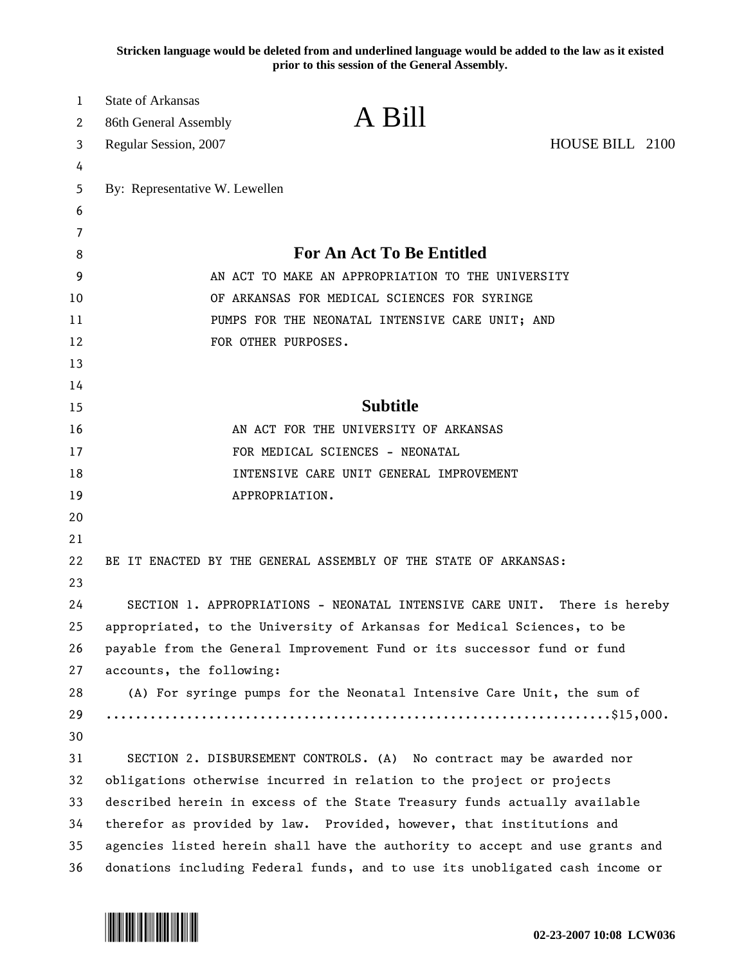**Stricken language would be deleted from and underlined language would be added to the law as it existed prior to this session of the General Assembly.**

| $\mathbf 1$ | <b>State of Arkansas</b>                                                     | A Bill                                                                    |                 |
|-------------|------------------------------------------------------------------------------|---------------------------------------------------------------------------|-----------------|
| 2           | 86th General Assembly                                                        |                                                                           |                 |
| 3           | Regular Session, 2007                                                        |                                                                           | HOUSE BILL 2100 |
| 4           |                                                                              |                                                                           |                 |
| 5           | By: Representative W. Lewellen                                               |                                                                           |                 |
| 6           |                                                                              |                                                                           |                 |
| 7<br>8      |                                                                              | <b>For An Act To Be Entitled</b>                                          |                 |
| 9           | AN ACT TO MAKE AN APPROPRIATION TO THE UNIVERSITY                            |                                                                           |                 |
| 10          | OF ARKANSAS FOR MEDICAL SCIENCES FOR SYRINGE                                 |                                                                           |                 |
| 11          | PUMPS FOR THE NEONATAL INTENSIVE CARE UNIT; AND                              |                                                                           |                 |
| 12          | FOR OTHER PURPOSES.                                                          |                                                                           |                 |
| 13          |                                                                              |                                                                           |                 |
| 14          |                                                                              |                                                                           |                 |
| 15          | <b>Subtitle</b>                                                              |                                                                           |                 |
| 16          |                                                                              | AN ACT FOR THE UNIVERSITY OF ARKANSAS                                     |                 |
| 17          | FOR MEDICAL SCIENCES - NEONATAL                                              |                                                                           |                 |
| 18          | INTENSIVE CARE UNIT GENERAL IMPROVEMENT                                      |                                                                           |                 |
| 19          |                                                                              | APPROPRIATION.                                                            |                 |
| 20          |                                                                              |                                                                           |                 |
| 21          |                                                                              |                                                                           |                 |
| 22          |                                                                              | BE IT ENACTED BY THE GENERAL ASSEMBLY OF THE STATE OF ARKANSAS:           |                 |
| 23          |                                                                              |                                                                           |                 |
| 24          |                                                                              | SECTION 1. APPROPRIATIONS - NEONATAL INTENSIVE CARE UNIT. There is hereby |                 |
| 25          | appropriated, to the University of Arkansas for Medical Sciences, to be      |                                                                           |                 |
| 26          | payable from the General Improvement Fund or its successor fund or fund      |                                                                           |                 |
| 27          | accounts, the following:                                                     |                                                                           |                 |
| 28          |                                                                              | (A) For syringe pumps for the Neonatal Intensive Care Unit, the sum of    |                 |
| 29          |                                                                              |                                                                           |                 |
| 30          |                                                                              |                                                                           |                 |
| 31          | SECTION 2. DISBURSEMENT CONTROLS. (A) No contract may be awarded nor         |                                                                           |                 |
| 32          | obligations otherwise incurred in relation to the project or projects        |                                                                           |                 |
| 33          | described herein in excess of the State Treasury funds actually available    |                                                                           |                 |
| 34          | therefor as provided by law. Provided, however, that institutions and        |                                                                           |                 |
| 35          | agencies listed herein shall have the authority to accept and use grants and |                                                                           |                 |
| 36          | donations including Federal funds, and to use its unobligated cash income or |                                                                           |                 |